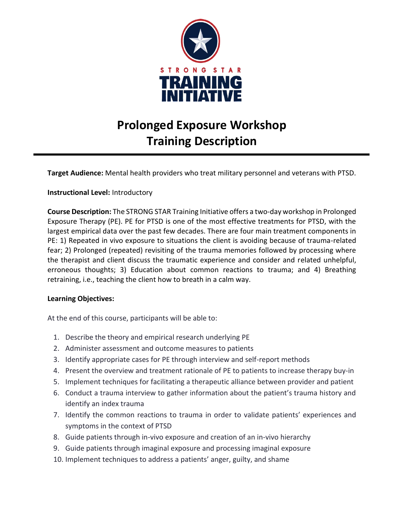

# **Prolonged Exposure Workshop Training Description**

**Target Audience:** Mental health providers who treat military personnel and veterans with PTSD.

#### **Instructional Level:** Introductory

**Course Description:** The STRONG STAR Training Initiative offers a two-day workshop in Prolonged Exposure Therapy (PE). PE for PTSD is one of the most effective treatments for PTSD, with the largest empirical data over the past few decades. There are four main treatment components in PE: 1) Repeated in vivo exposure to situations the client is avoiding because of trauma-related fear; 2) Prolonged (repeated) revisiting of the trauma memories followed by processing where the therapist and client discuss the traumatic experience and consider and related unhelpful, erroneous thoughts; 3) Education about common reactions to trauma; and 4) Breathing retraining, i.e., teaching the client how to breath in a calm way.

#### **Learning Objectives:**

At the end of this course, participants will be able to:

- 1. Describe the theory and empirical research underlying PE
- 2. Administer assessment and outcome measures to patients
- 3. Identify appropriate cases for PE through interview and self-report methods
- 4. Present the overview and treatment rationale of PE to patients to increase therapy buy-in
- 5. Implement techniques for facilitating a therapeutic alliance between provider and patient
- 6. Conduct a trauma interview to gather information about the patient's trauma history and identify an index trauma
- 7. Identify the common reactions to trauma in order to validate patients' experiences and symptoms in the context of PTSD
- 8. Guide patients through in-vivo exposure and creation of an in-vivo hierarchy
- 9. Guide patients through imaginal exposure and processing imaginal exposure
- 10. Implement techniques to address a patients' anger, guilty, and shame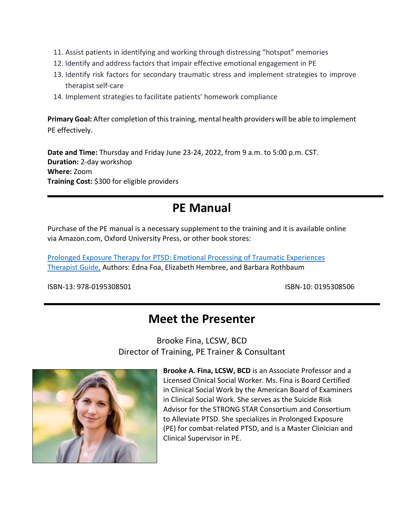- 11. Assist patients in identifying and working through distressing "hotspot" memories
- 12. Identify and address factors that impair effective emotional engagement in PE
- 13. Identify risk factors for secondary traumatic stress and implement strategies to improve therapist self-care
- 14. Implement strategies to facilitate patients' homework compliance

**Primary Goal:** After completion of this training, mental health providers will be able to implement PE effectively.

**Date and Time:** Thursday and Friday June 23-24, 2022, from 9 a.m. to 5:00 p.m. CST. **Duration:** 2-day workshop **Where:** Zoom **Training Cost:** \$300 for eligible providers

# **PE Manual**

Purchase of the PE manual is a necessary supplement to the training and it is available online via Amazon.com, Oxford University Press, or other book stores:

[Prolonged Exposure Therapy for PTSD: Emotional Processing of Traumatic Experiences](https://www.amazon.com/Prolonged-Exposure-Therapy-PTSD-Experiences/dp/0195308506/)  [Therapist Guide,](https://www.amazon.com/Prolonged-Exposure-Therapy-PTSD-Experiences/dp/0195308506/) Authors: Edna Foa, Elizabeth Hembree, and Barbara Rothbaum

ISBN-13: 978-0195308501 ISBN-10: 0195308506

# **Meet the Presenter**

Brooke Fina, LCSW, BCD Director of Training, PE Trainer & Consultant



**Brooke A. Fina, LCSW, BCD** is an Associate Professor and a Licensed Clinical Social Worker. Ms. Fina is Board Certified in Clinical Social Work by the American Board of Examiners in Clinical Social Work. She serves as the Suicide Risk Advisor for the STRONG STAR Consortium and Consortium to Alleviate PTSD. She specializes in Prolonged Exposure (PE) for combat-related PTSD, and is a Master Clinician and Clinical Supervisor in PE.